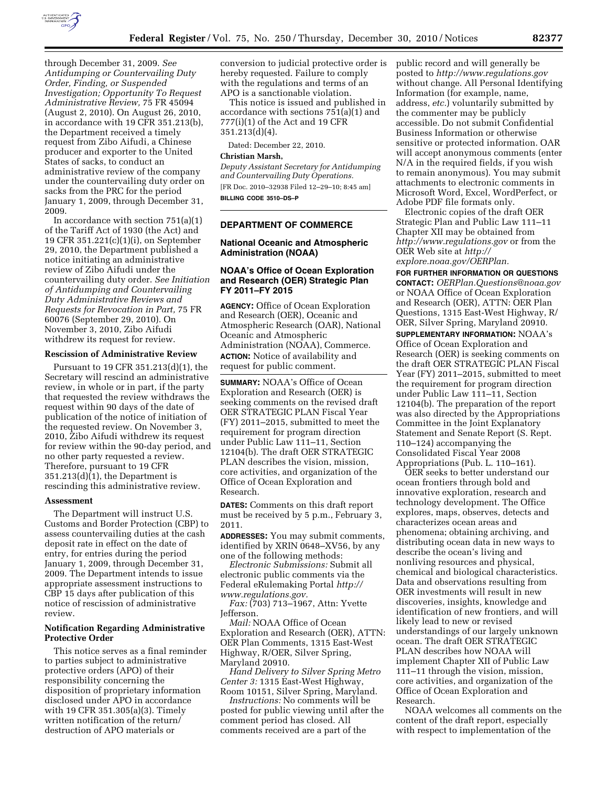

through December 31, 2009. *See Antidumping or Countervailing Duty Order, Finding, or Suspended Investigation; Opportunity To Request Administrative Review,* 75 FR 45094 (August 2, 2010). On August 26, 2010, in accordance with 19 CFR 351.213(b), the Department received a timely request from Zibo Aifudi, a Chinese producer and exporter to the United States of sacks, to conduct an administrative review of the company under the countervailing duty order on sacks from the PRC for the period January 1, 2009, through December 31, 2009.

In accordance with section  $751(a)(1)$ of the Tariff Act of 1930 (the Act) and 19 CFR 351.221(c)(1)(i), on September 29, 2010, the Department published a notice initiating an administrative review of Zibo Aifudi under the countervailing duty order. *See Initiation of Antidumping and Countervailing Duty Administrative Reviews and Requests for Revocation in Part,* 75 FR 60076 (September 29, 2010). On November 3, 2010, Zibo Aifudi withdrew its request for review.

### **Rescission of Administrative Review**

Pursuant to 19 CFR 351.213(d)(1), the Secretary will rescind an administrative review, in whole or in part, if the party that requested the review withdraws the request within 90 days of the date of publication of the notice of initiation of the requested review. On November 3, 2010, Zibo Aifudi withdrew its request for review within the 90-day period, and no other party requested a review. Therefore, pursuant to 19 CFR  $351.213(d)(1)$ , the Department is rescinding this administrative review.

#### **Assessment**

The Department will instruct U.S. Customs and Border Protection (CBP) to assess countervailing duties at the cash deposit rate in effect on the date of entry, for entries during the period January 1, 2009, through December 31, 2009. The Department intends to issue appropriate assessment instructions to CBP 15 days after publication of this notice of rescission of administrative review.

# **Notification Regarding Administrative Protective Order**

This notice serves as a final reminder to parties subject to administrative protective orders (APO) of their responsibility concerning the disposition of proprietary information disclosed under APO in accordance with 19 CFR 351.305(a)(3). Timely written notification of the return/ destruction of APO materials or

conversion to judicial protective order is hereby requested. Failure to comply with the regulations and terms of an APO is a sanctionable violation.

This notice is issued and published in accordance with sections 751(a)(1) and 777(i)(1) of the Act and 19 CFR 351.213(d)(4).

Dated: December 22, 2010.

#### **Christian Marsh,**

*Deputy Assistant Secretary for Antidumping and Countervailing Duty Operations.*  [FR Doc. 2010–32938 Filed 12–29–10; 8:45 am] **BILLING CODE 3510–DS–P** 

# **DEPARTMENT OF COMMERCE**

### **National Oceanic and Atmospheric Administration (NOAA)**

### **NOAA's Office of Ocean Exploration and Research (OER) Strategic Plan FY 2011–FY 2015**

**AGENCY:** Office of Ocean Exploration and Research (OER), Oceanic and Atmospheric Research (OAR), National Oceanic and Atmospheric Administration (NOAA), Commerce. **ACTION:** Notice of availability and request for public comment.

**SUMMARY:** NOAA's Office of Ocean Exploration and Research (OER) is seeking comments on the revised draft OER STRATEGIC PLAN Fiscal Year (FY) 2011–2015, submitted to meet the requirement for program direction under Public Law 111–11, Section 12104(b). The draft OER STRATEGIC PLAN describes the vision, mission, core activities, and organization of the Office of Ocean Exploration and Research.

**DATES:** Comments on this draft report must be received by 5 p.m., February 3, 2011.

**ADDRESSES:** You may submit comments, identified by XRIN 0648–XV56, by any one of the following methods:

*Electronic Submissions:* Submit all electronic public comments via the Federal eRulemaking Portal *[http://](http://www.regulations.gov) [www.regulations.gov.](http://www.regulations.gov)* 

*Fax:* (703) 713–1967, Attn: Yvette Jefferson.

*Mail:* NOAA Office of Ocean Exploration and Research (OER), ATTN: OER Plan Comments, 1315 East-West Highway, R/OER, Silver Spring, Maryland 20910.

*Hand Delivery to Silver Spring Metro Center 3:* 1315 East-West Highway, Room 10151, Silver Spring, Maryland.

*Instructions:* No comments will be posted for public viewing until after the comment period has closed. All comments received are a part of the

public record and will generally be posted to *<http://www.regulations.gov>* without change. All Personal Identifying Information (for example, name, address, *etc.*) voluntarily submitted by the commenter may be publicly accessible. Do not submit Confidential Business Information or otherwise sensitive or protected information. OAR will accept anonymous comments (enter N/A in the required fields, if you wish to remain anonymous). You may submit attachments to electronic comments in Microsoft Word, Excel, WordPerfect, or Adobe PDF file formats only.

Electronic copies of the draft OER Strategic Plan and Public Law 111–11 Chapter XII may be obtained from *<http://www.regulations.gov>* or from the OER Web site at *[http://](http://explore.noaa.gov/OERPlan) [explore.noaa.gov/OERPlan.](http://explore.noaa.gov/OERPlan)* 

**FOR FURTHER INFORMATION OR QUESTIONS CONTACT:** *[OERPlan.Questions@noaa.gov](mailto:OERPlan.Questions@noaa.gov)*  or NOAA Office of Ocean Exploration and Research (OER), ATTN: OER Plan Questions, 1315 East-West Highway, R/ OER, Silver Spring, Maryland 20910.

**SUPPLEMENTARY INFORMATION:** NOAA's Office of Ocean Exploration and Research (OER) is seeking comments on the draft OER STRATEGIC PLAN Fiscal Year (FY) 2011–2015, submitted to meet the requirement for program direction under Public Law 111–11, Section 12104(b). The preparation of the report was also directed by the Appropriations Committee in the Joint Explanatory Statement and Senate Report (S. Rept. 110–124) accompanying the Consolidated Fiscal Year 2008 Appropriations (Pub. L. 110–161).

OER seeks to better understand our ocean frontiers through bold and innovative exploration, research and technology development. The Office explores, maps, observes, detects and characterizes ocean areas and phenomena; obtaining archiving, and distributing ocean data in new ways to describe the ocean's living and nonliving resources and physical, chemical and biological characteristics. Data and observations resulting from OER investments will result in new discoveries, insights, knowledge and identification of new frontiers, and will likely lead to new or revised understandings of our largely unknown ocean. The draft OER STRATEGIC PLAN describes how NOAA will implement Chapter XII of Public Law 111–11 through the vision, mission, core activities, and organization of the Office of Ocean Exploration and Research.

NOAA welcomes all comments on the content of the draft report, especially with respect to implementation of the